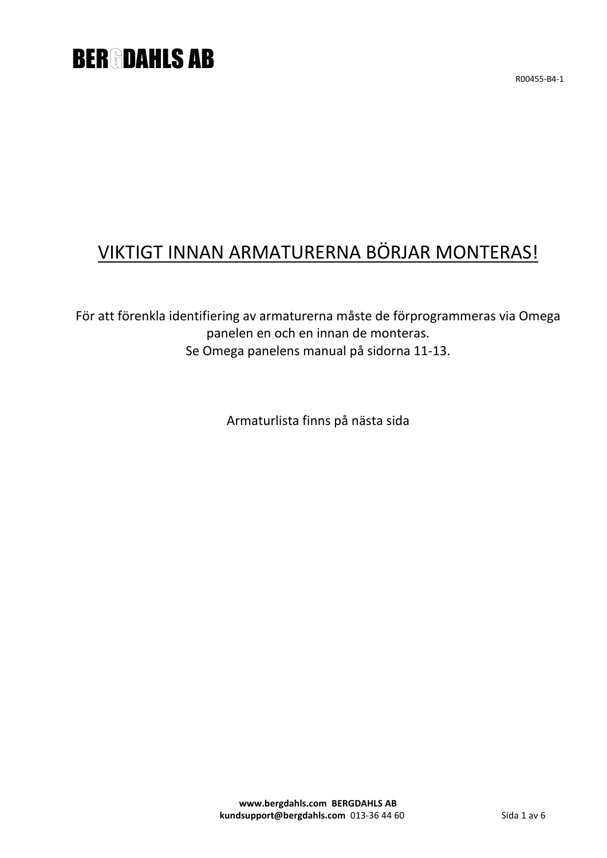## **BER DAHLS AB**

R00455-B4-1

## VIKTIGT INNAN ARMATURERNA BÖRJAR MONTERAS!

För att förenkla identifiering av armaturerna måste de förprogrammeras via Omega panelen en och en innan de monteras. Se Omega panelens manual på sidorna 11-13.

Armaturlista finns på nästa sida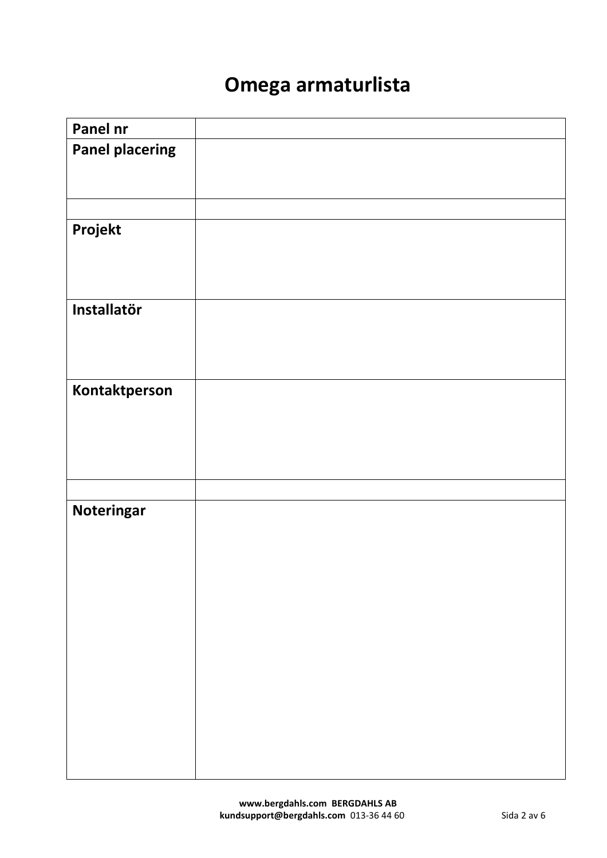## **Omega armaturlista**

| Panel nr               |  |
|------------------------|--|
| <b>Panel placering</b> |  |
|                        |  |
|                        |  |
|                        |  |
|                        |  |
|                        |  |
| Projekt                |  |
|                        |  |
|                        |  |
|                        |  |
|                        |  |
| Installatör            |  |
|                        |  |
|                        |  |
|                        |  |
|                        |  |
|                        |  |
| Kontaktperson          |  |
|                        |  |
|                        |  |
|                        |  |
|                        |  |
|                        |  |
|                        |  |
|                        |  |
| Noteringar             |  |
|                        |  |
|                        |  |
|                        |  |
|                        |  |
|                        |  |
|                        |  |
|                        |  |
|                        |  |
|                        |  |
|                        |  |
|                        |  |
|                        |  |
|                        |  |
|                        |  |
|                        |  |
|                        |  |
|                        |  |
|                        |  |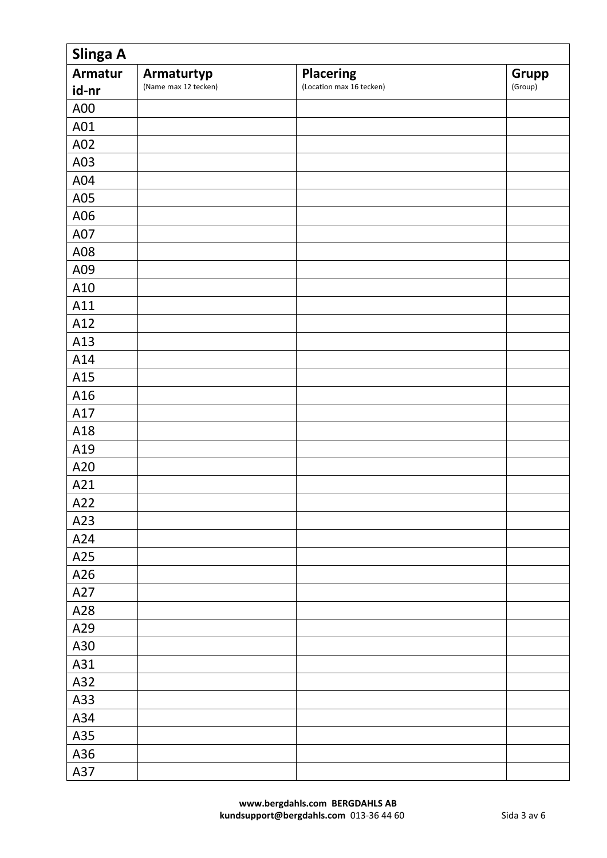| Slinga A       |                      |                          |              |  |
|----------------|----------------------|--------------------------|--------------|--|
| <b>Armatur</b> | Armaturtyp           | <b>Placering</b>         | <b>Grupp</b> |  |
| id-nr          | (Name max 12 tecken) | (Location max 16 tecken) | (Group)      |  |
| A00            |                      |                          |              |  |
| A01            |                      |                          |              |  |
| A02            |                      |                          |              |  |
| A03            |                      |                          |              |  |
| A04            |                      |                          |              |  |
| A05            |                      |                          |              |  |
| A06            |                      |                          |              |  |
| A07            |                      |                          |              |  |
| A08            |                      |                          |              |  |
| A09            |                      |                          |              |  |
| A10            |                      |                          |              |  |
| A11            |                      |                          |              |  |
| A12            |                      |                          |              |  |
| A13            |                      |                          |              |  |
| A14            |                      |                          |              |  |
| A15            |                      |                          |              |  |
| A16            |                      |                          |              |  |
| A17            |                      |                          |              |  |
| A18            |                      |                          |              |  |
| A19            |                      |                          |              |  |
| A20            |                      |                          |              |  |
| A21            |                      |                          |              |  |
| A22            |                      |                          |              |  |
| A23            |                      |                          |              |  |
| A24            |                      |                          |              |  |
| A25            |                      |                          |              |  |
| A26            |                      |                          |              |  |
| A27            |                      |                          |              |  |
| A28            |                      |                          |              |  |
| A29            |                      |                          |              |  |
| A30            |                      |                          |              |  |
| A31            |                      |                          |              |  |
| A32            |                      |                          |              |  |
| A33            |                      |                          |              |  |
| A34            |                      |                          |              |  |
| A35            |                      |                          |              |  |
| A36            |                      |                          |              |  |
| A37            |                      |                          |              |  |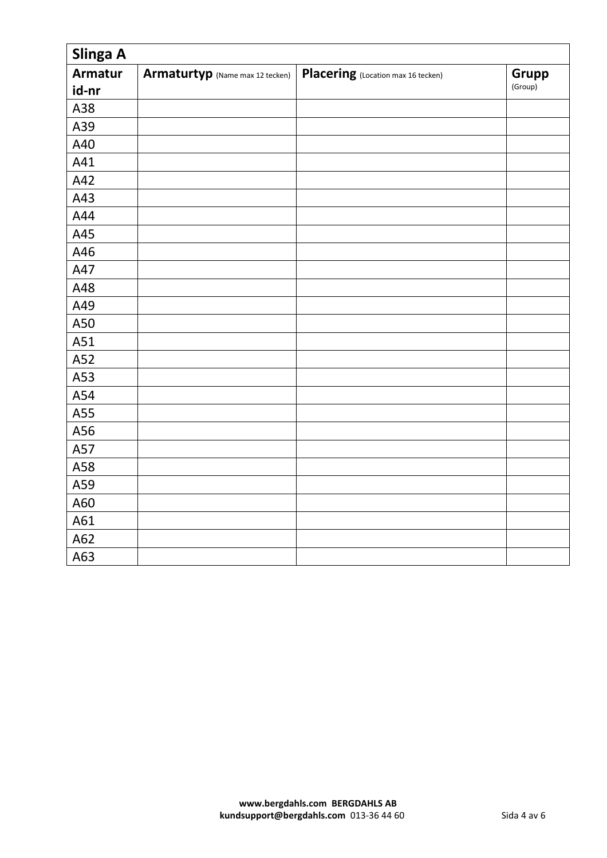| Slinga A       |                                 |                                    |         |  |
|----------------|---------------------------------|------------------------------------|---------|--|
| <b>Armatur</b> | Armaturtyp (Name max 12 tecken) | Placering (Location max 16 tecken) | Grupp   |  |
| id-nr          |                                 |                                    | (Group) |  |
| A38            |                                 |                                    |         |  |
| A39            |                                 |                                    |         |  |
| A40            |                                 |                                    |         |  |
| A41            |                                 |                                    |         |  |
| A42            |                                 |                                    |         |  |
| A43            |                                 |                                    |         |  |
| A44            |                                 |                                    |         |  |
| A45            |                                 |                                    |         |  |
| A46            |                                 |                                    |         |  |
| A47            |                                 |                                    |         |  |
| A48            |                                 |                                    |         |  |
| A49            |                                 |                                    |         |  |
| A50            |                                 |                                    |         |  |
| A51            |                                 |                                    |         |  |
| A52            |                                 |                                    |         |  |
| A53            |                                 |                                    |         |  |
| A54            |                                 |                                    |         |  |
| A55            |                                 |                                    |         |  |
| A56            |                                 |                                    |         |  |
| A57            |                                 |                                    |         |  |
| A58            |                                 |                                    |         |  |
| A59            |                                 |                                    |         |  |
| A60            |                                 |                                    |         |  |
| A61            |                                 |                                    |         |  |
| A62            |                                 |                                    |         |  |
| A63            |                                 |                                    |         |  |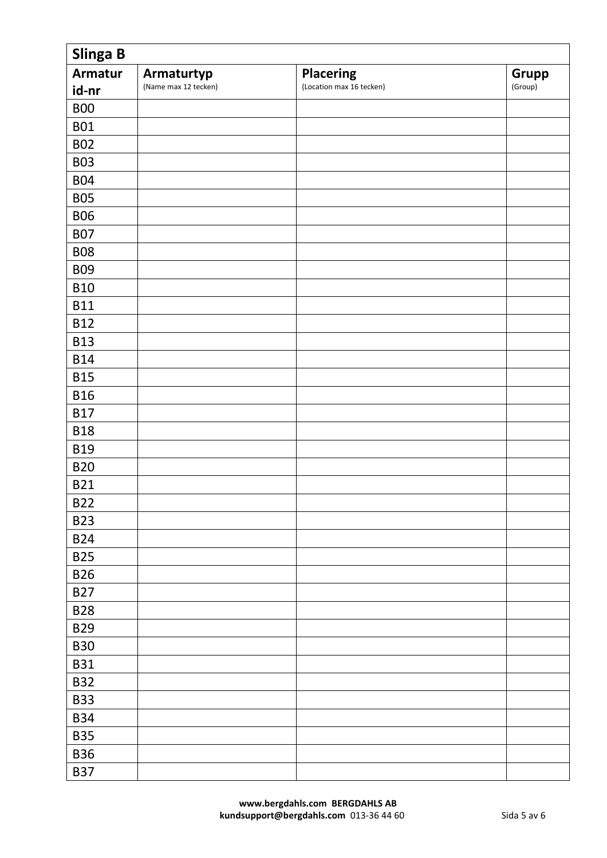| Slinga B       |                      |                          |              |  |
|----------------|----------------------|--------------------------|--------------|--|
| <b>Armatur</b> | Armaturtyp           | <b>Placering</b>         | <b>Grupp</b> |  |
| id-nr          | (Name max 12 tecken) | (Location max 16 tecken) | (Group)      |  |
| <b>B00</b>     |                      |                          |              |  |
| <b>B01</b>     |                      |                          |              |  |
| <b>B02</b>     |                      |                          |              |  |
| <b>B03</b>     |                      |                          |              |  |
| <b>B04</b>     |                      |                          |              |  |
| <b>B05</b>     |                      |                          |              |  |
| <b>B06</b>     |                      |                          |              |  |
| <b>B07</b>     |                      |                          |              |  |
| <b>B08</b>     |                      |                          |              |  |
| <b>B09</b>     |                      |                          |              |  |
| <b>B10</b>     |                      |                          |              |  |
| <b>B11</b>     |                      |                          |              |  |
| <b>B12</b>     |                      |                          |              |  |
| <b>B13</b>     |                      |                          |              |  |
| <b>B14</b>     |                      |                          |              |  |
| <b>B15</b>     |                      |                          |              |  |
| <b>B16</b>     |                      |                          |              |  |
| <b>B17</b>     |                      |                          |              |  |
| <b>B18</b>     |                      |                          |              |  |
| <b>B19</b>     |                      |                          |              |  |
| <b>B20</b>     |                      |                          |              |  |
| <b>B21</b>     |                      |                          |              |  |
| <b>B22</b>     |                      |                          |              |  |
| <b>B23</b>     |                      |                          |              |  |
| <b>B24</b>     |                      |                          |              |  |
| <b>B25</b>     |                      |                          |              |  |
| <b>B26</b>     |                      |                          |              |  |
| <b>B27</b>     |                      |                          |              |  |
| <b>B28</b>     |                      |                          |              |  |
| <b>B29</b>     |                      |                          |              |  |
| <b>B30</b>     |                      |                          |              |  |
| <b>B31</b>     |                      |                          |              |  |
| <b>B32</b>     |                      |                          |              |  |
| <b>B33</b>     |                      |                          |              |  |
| <b>B34</b>     |                      |                          |              |  |
| <b>B35</b>     |                      |                          |              |  |
| <b>B36</b>     |                      |                          |              |  |
| <b>B37</b>     |                      |                          |              |  |